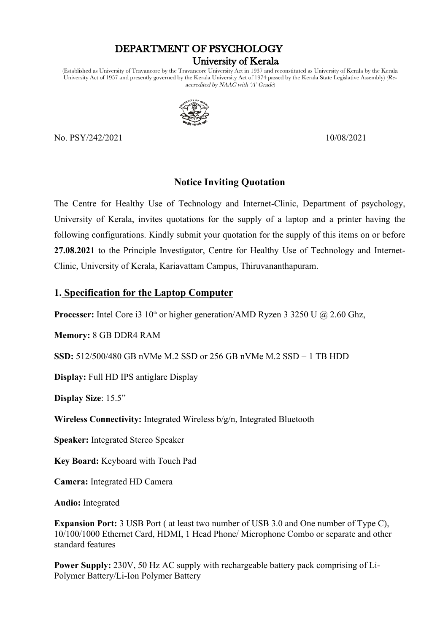# DEPARTMENT OF PSYCHOLOGY

#### University of Kerala

(Established as University of Travancore by the Travancore University Act in 1937 and reconstituted as University of Kerala by the Kerala University Act of 1957 and presently governed by the Kerala University Act of 1974 passed by the Kerala State Legislative Assembly) (Reaccredited by  $NAAC$  with 'A' Grade)



No. PSY/242/2021 10/08/2021

## **Notice Inviting Quotation**

The Centre for Healthy Use of Technology and Internet-Clinic, Department of psychology, University of Kerala, invites quotations for the supply of a laptop and a printer having the following configurations. Kindly submit your quotation for the supply of this items on or before **27.08.2021** to the Principle Investigator, Centre for Healthy Use of Technology and Internet-Clinic, University of Kerala, Kariavattam Campus, Thiruvananthapuram.

#### **1. Specification for the Laptop Computer**

**Processer:** Intel Core i3 10<sup>th</sup> or higher generation/AMD Ryzen 3 3250 U @ 2.60 Ghz,

**Memory:** 8 GB DDR4 RAM

**SSD:** 512/500/480 GB nVMe M.2 SSD or 256 GB nVMe M.2 SSD + 1 TB HDD

**Display:** Full HD IPS antiglare Display

**Display Size**: 15.5"

**Wireless Connectivity:** Integrated Wireless b/g/n, Integrated Bluetooth

**Speaker:** Integrated Stereo Speaker

**Key Board:** Keyboard with Touch Pad

**Camera:** Integrated HD Camera

**Audio:** Integrated

**Expansion Port:** 3 USB Port ( at least two number of USB 3.0 and One number of Type C), 10/100/1000 Ethernet Card, HDMI, 1 Head Phone/ Microphone Combo or separate and other standard features

**Power Supply:** 230V, 50 Hz AC supply with rechargeable battery pack comprising of Li-Polymer Battery/Li-Ion Polymer Battery